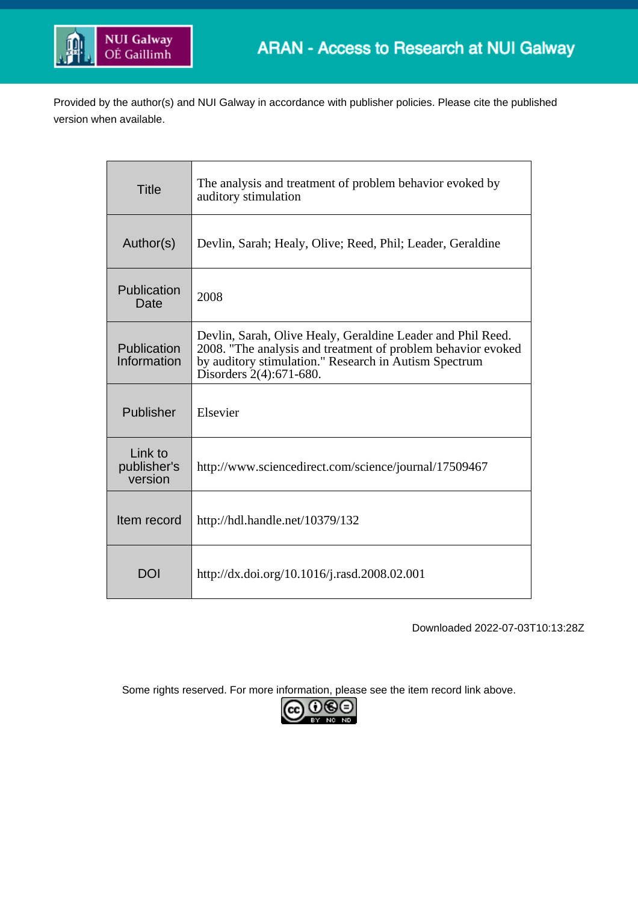

Provided by the author(s) and NUI Galway in accordance with publisher policies. Please cite the published version when available.

| <b>Title</b>                      | The analysis and treatment of problem behavior evoked by<br>auditory stimulation                                                                                                                                |
|-----------------------------------|-----------------------------------------------------------------------------------------------------------------------------------------------------------------------------------------------------------------|
| Author(s)                         | Devlin, Sarah; Healy, Olive; Reed, Phil; Leader, Geraldine                                                                                                                                                      |
| Publication<br>Date               | 2008                                                                                                                                                                                                            |
| Publication<br>Information        | Devlin, Sarah, Olive Healy, Geraldine Leader and Phil Reed.<br>2008. "The analysis and treatment of problem behavior evoked<br>by auditory stimulation." Research in Autism Spectrum<br>Disorders 2(4):671-680. |
| Publisher                         | Elsevier                                                                                                                                                                                                        |
| Link to<br>publisher's<br>version | http://www.sciencedirect.com/science/journal/17509467                                                                                                                                                           |
| Item record                       | http://hdl.handle.net/10379/132                                                                                                                                                                                 |
| <b>DOI</b>                        | http://dx.doi.org/10.1016/j.rasd.2008.02.001                                                                                                                                                                    |

Downloaded 2022-07-03T10:13:28Z

Some rights reserved. For more information, please see the item record link above.

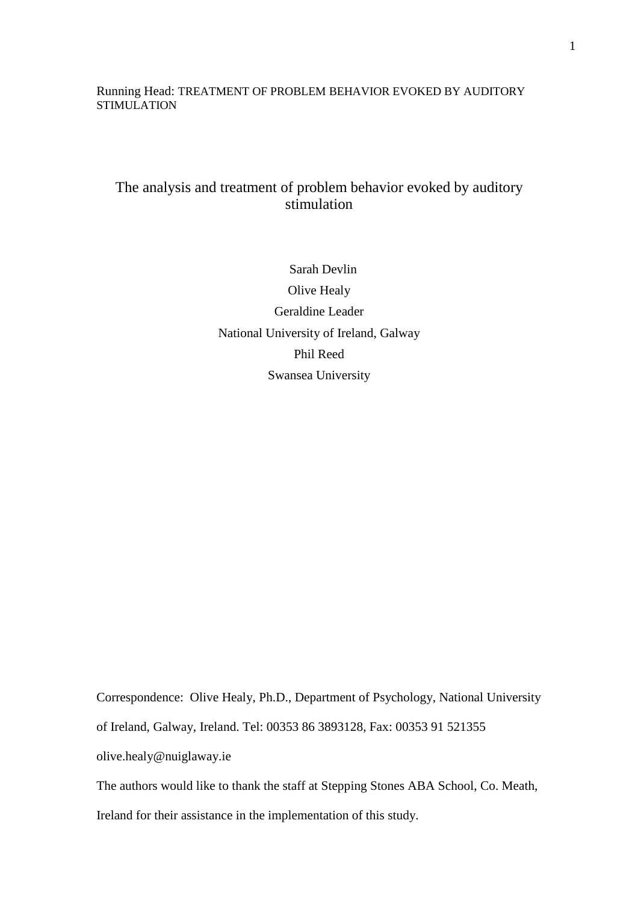## Running Head: TREATMENT OF PROBLEM BEHAVIOR EVOKED BY AUDITORY **STIMULATION**

## The analysis and treatment of problem behavior evoked by auditory stimulation

Sarah Devlin Olive Healy Geraldine Leader National University of Ireland, Galway Phil Reed Swansea University

Correspondence: Olive Healy, Ph.D., Department of Psychology, National University of Ireland, Galway, Ireland. Tel: 00353 86 3893128, Fax: 00353 91 521355 olive.healy@nuiglaway.ie

The authors would like to thank the staff at Stepping Stones ABA School, Co. Meath,

Ireland for their assistance in the implementation of this study.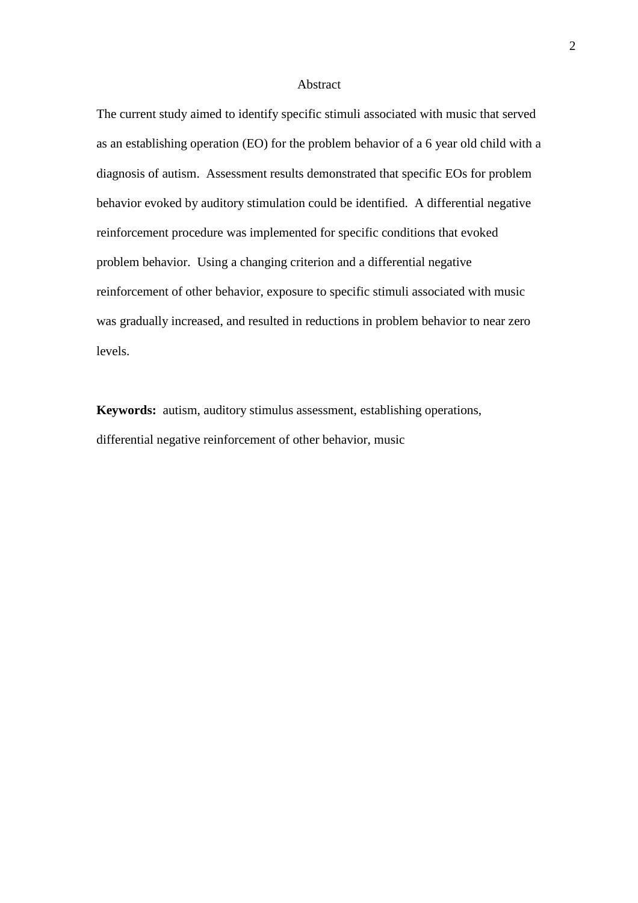#### Abstract

The current study aimed to identify specific stimuli associated with music that served as an establishing operation (EO) for the problem behavior of a 6 year old child with a diagnosis of autism. Assessment results demonstrated that specific EOs for problem behavior evoked by auditory stimulation could be identified. A differential negative reinforcement procedure was implemented for specific conditions that evoked problem behavior. Using a changing criterion and a differential negative reinforcement of other behavior, exposure to specific stimuli associated with music was gradually increased, and resulted in reductions in problem behavior to near zero levels.

**Keywords:** autism, auditory stimulus assessment, establishing operations, differential negative reinforcement of other behavior, music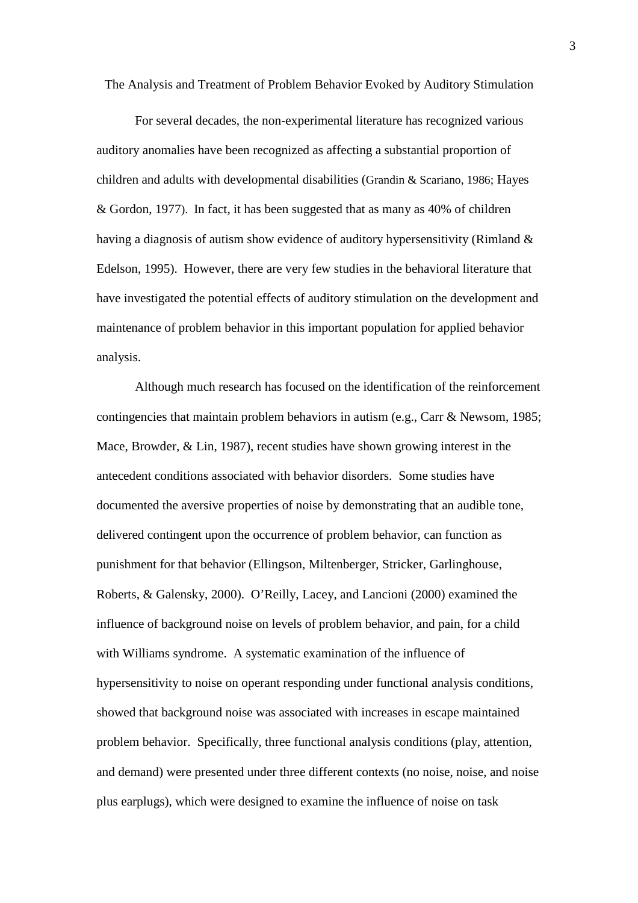The Analysis and Treatment of Problem Behavior Evoked by Auditory Stimulation

For several decades, the non-experimental literature has recognized various auditory anomalies have been recognized as affecting a substantial proportion of children and adults with developmental disabilities (Grandin & Scariano, 1986; Hayes & Gordon, 1977). In fact, it has been suggested that as many as 40% of children having a diagnosis of autism show evidence of auditory hypersensitivity (Rimland & Edelson, 1995). However, there are very few studies in the behavioral literature that have investigated the potential effects of auditory stimulation on the development and maintenance of problem behavior in this important population for applied behavior analysis.

Although much research has focused on the identification of the reinforcement contingencies that maintain problem behaviors in autism (e.g., Carr & Newsom, 1985; Mace, Browder, & Lin, 1987), recent studies have shown growing interest in the antecedent conditions associated with behavior disorders. Some studies have documented the aversive properties of noise by demonstrating that an audible tone, delivered contingent upon the occurrence of problem behavior, can function as punishment for that behavior (Ellingson, Miltenberger, Stricker, Garlinghouse, Roberts, & Galensky, 2000). O'Reilly, Lacey, and Lancioni (2000) examined the influence of background noise on levels of problem behavior, and pain, for a child with Williams syndrome. A systematic examination of the influence of hypersensitivity to noise on operant responding under functional analysis conditions, showed that background noise was associated with increases in escape maintained problem behavior. Specifically, three functional analysis conditions (play, attention, and demand) were presented under three different contexts (no noise, noise, and noise plus earplugs), which were designed to examine the influence of noise on task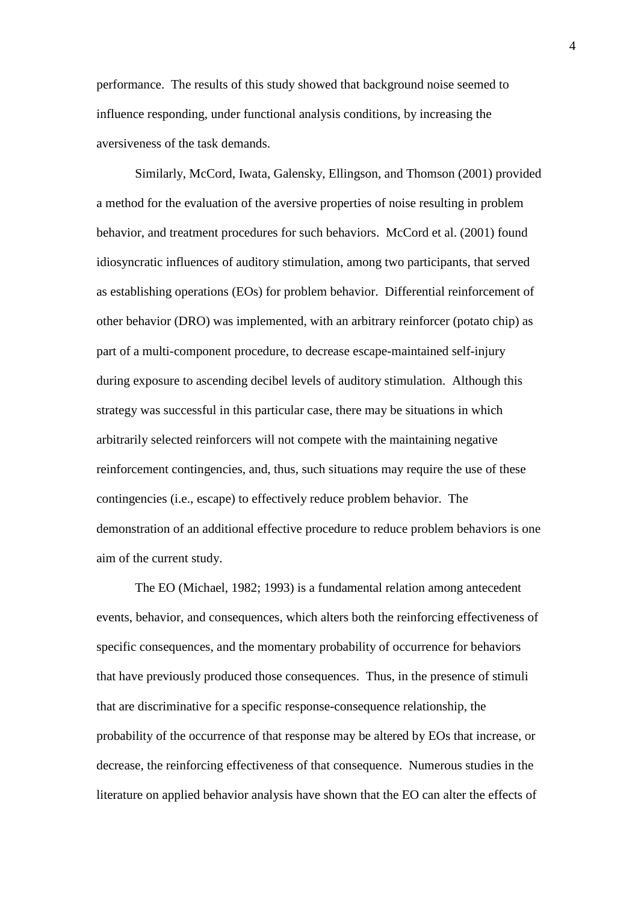performance. The results of this study showed that background noise seemed to influence responding, under functional analysis conditions, by increasing the aversiveness of the task demands.

Similarly, McCord, Iwata, Galensky, Ellingson, and Thomson (2001) provided a method for the evaluation of the aversive properties of noise resulting in problem behavior, and treatment procedures for such behaviors. McCord et al. (2001) found idiosyncratic influences of auditory stimulation, among two participants, that served as establishing operations (EOs) for problem behavior. Differential reinforcement of other behavior (DRO) was implemented, with an arbitrary reinforcer (potato chip) as part of a multi-component procedure, to decrease escape-maintained self-injury during exposure to ascending decibel levels of auditory stimulation. Although this strategy was successful in this particular case, there may be situations in which arbitrarily selected reinforcers will not compete with the maintaining negative reinforcement contingencies, and, thus, such situations may require the use of these contingencies (i.e., escape) to effectively reduce problem behavior. The demonstration of an additional effective procedure to reduce problem behaviors is one aim of the current study.

The EO (Michael, 1982; 1993) is a fundamental relation among antecedent events, behavior, and consequences, which alters both the reinforcing effectiveness of specific consequences, and the momentary probability of occurrence for behaviors that have previously produced those consequences. Thus, in the presence of stimuli that are discriminative for a specific response-consequence relationship, the probability of the occurrence of that response may be altered by EOs that increase, or decrease, the reinforcing effectiveness of that consequence. Numerous studies in the literature on applied behavior analysis have shown that the EO can alter the effects of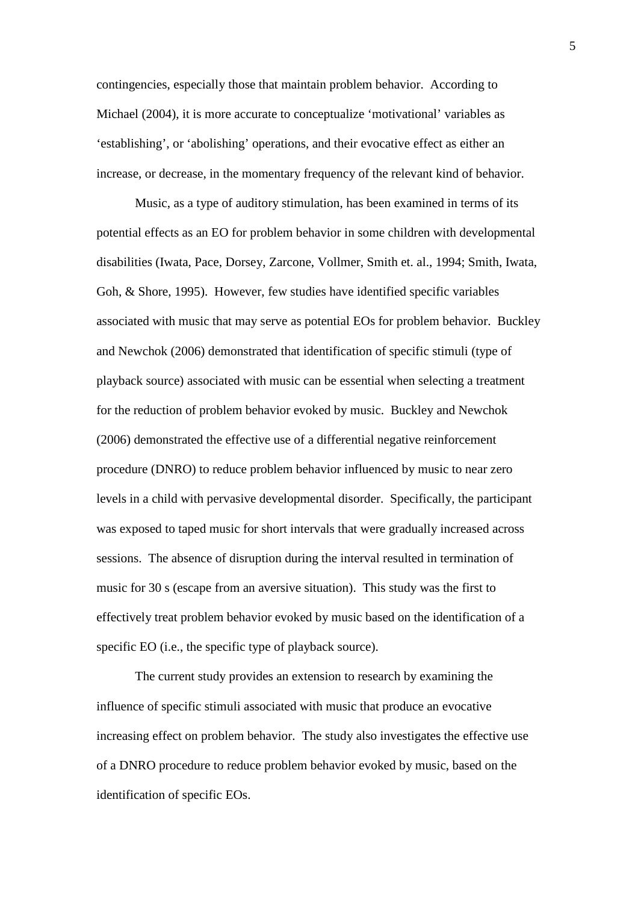contingencies, especially those that maintain problem behavior. According to Michael (2004), it is more accurate to conceptualize 'motivational' variables as 'establishing', or 'abolishing' operations, and their evocative effect as either an increase, or decrease, in the momentary frequency of the relevant kind of behavior.

Music, as a type of auditory stimulation, has been examined in terms of its potential effects as an EO for problem behavior in some children with developmental disabilities (Iwata, Pace, Dorsey, Zarcone, Vollmer, Smith et. al., 1994; Smith, Iwata, Goh, & Shore, 1995). However, few studies have identified specific variables associated with music that may serve as potential EOs for problem behavior. Buckley and Newchok (2006) demonstrated that identification of specific stimuli (type of playback source) associated with music can be essential when selecting a treatment for the reduction of problem behavior evoked by music. Buckley and Newchok (2006) demonstrated the effective use of a differential negative reinforcement procedure (DNRO) to reduce problem behavior influenced by music to near zero levels in a child with pervasive developmental disorder. Specifically, the participant was exposed to taped music for short intervals that were gradually increased across sessions. The absence of disruption during the interval resulted in termination of music for 30 s (escape from an aversive situation). This study was the first to effectively treat problem behavior evoked by music based on the identification of a specific EO (i.e., the specific type of playback source).

The current study provides an extension to research by examining the influence of specific stimuli associated with music that produce an evocative increasing effect on problem behavior. The study also investigates the effective use of a DNRO procedure to reduce problem behavior evoked by music, based on the identification of specific EOs.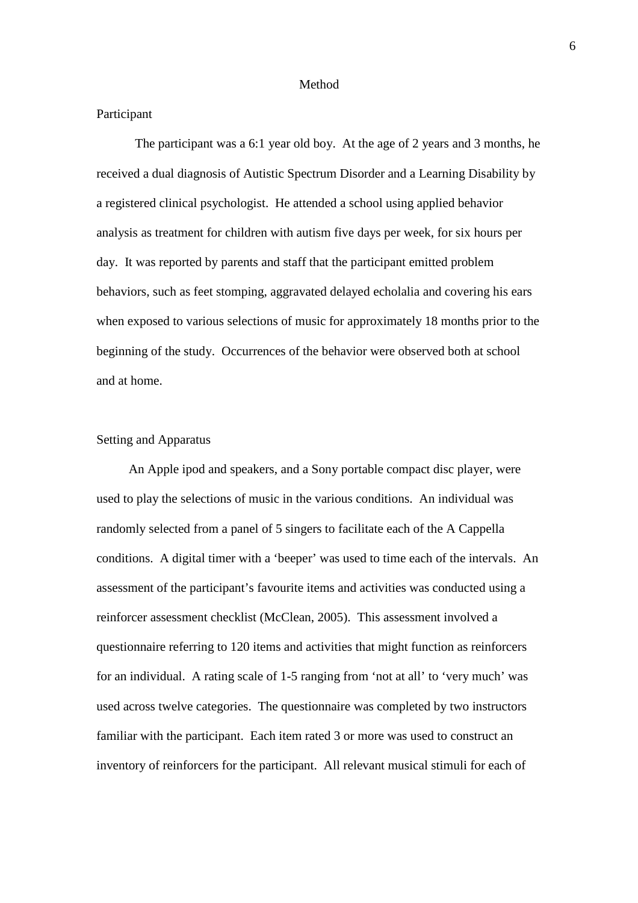#### Method

## Participant

The participant was a 6:1 year old boy. At the age of 2 years and 3 months, he received a dual diagnosis of Autistic Spectrum Disorder and a Learning Disability by a registered clinical psychologist. He attended a school using applied behavior analysis as treatment for children with autism five days per week, for six hours per day. It was reported by parents and staff that the participant emitted problem behaviors, such as feet stomping, aggravated delayed echolalia and covering his ears when exposed to various selections of music for approximately 18 months prior to the beginning of the study. Occurrences of the behavior were observed both at school and at home.

### Setting and Apparatus

An Apple ipod and speakers, and a Sony portable compact disc player, were used to play the selections of music in the various conditions. An individual was randomly selected from a panel of 5 singers to facilitate each of the A Cappella conditions. A digital timer with a 'beeper' was used to time each of the intervals. An assessment of the participant's favourite items and activities was conducted using a reinforcer assessment checklist (McClean, 2005). This assessment involved a questionnaire referring to 120 items and activities that might function as reinforcers for an individual. A rating scale of 1-5 ranging from 'not at all' to 'very much' was used across twelve categories. The questionnaire was completed by two instructors familiar with the participant. Each item rated 3 or more was used to construct an inventory of reinforcers for the participant. All relevant musical stimuli for each of

6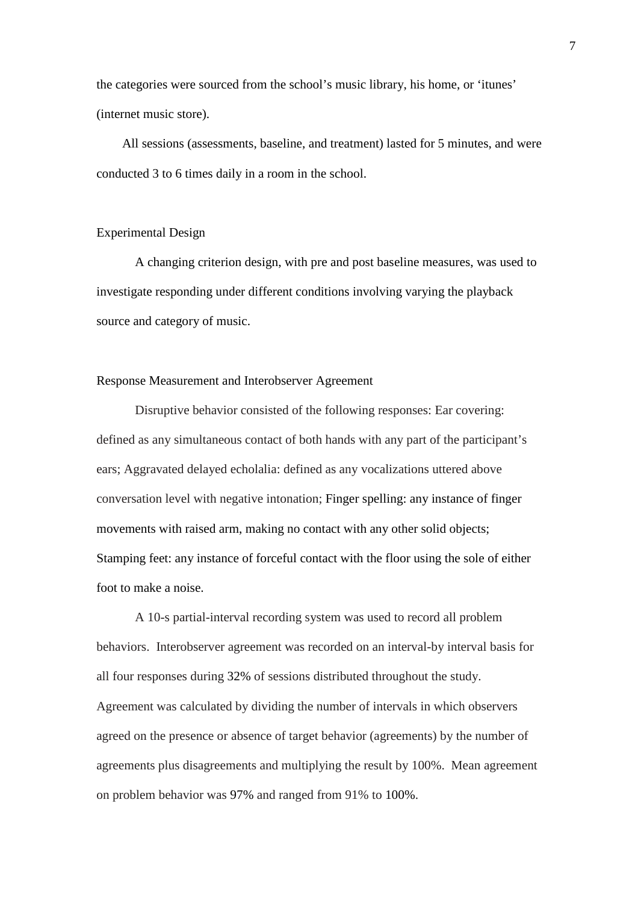the categories were sourced from the school's music library, his home, or 'itunes' (internet music store).

All sessions (assessments, baseline, and treatment) lasted for 5 minutes, and were conducted 3 to 6 times daily in a room in the school.

#### Experimental Design

A changing criterion design, with pre and post baseline measures, was used to investigate responding under different conditions involving varying the playback source and category of music.

## Response Measurement and Interobserver Agreement

Disruptive behavior consisted of the following responses: Ear covering: defined as any simultaneous contact of both hands with any part of the participant's ears; Aggravated delayed echolalia: defined as any vocalizations uttered above conversation level with negative intonation; Finger spelling: any instance of finger movements with raised arm, making no contact with any other solid objects; Stamping feet: any instance of forceful contact with the floor using the sole of either foot to make a noise.

A 10-s partial-interval recording system was used to record all problem behaviors. Interobserver agreement was recorded on an interval-by interval basis for all four responses during 32% of sessions distributed throughout the study. Agreement was calculated by dividing the number of intervals in which observers agreed on the presence or absence of target behavior (agreements) by the number of agreements plus disagreements and multiplying the result by 100%. Mean agreement on problem behavior was 97% and ranged from 91% to 100%.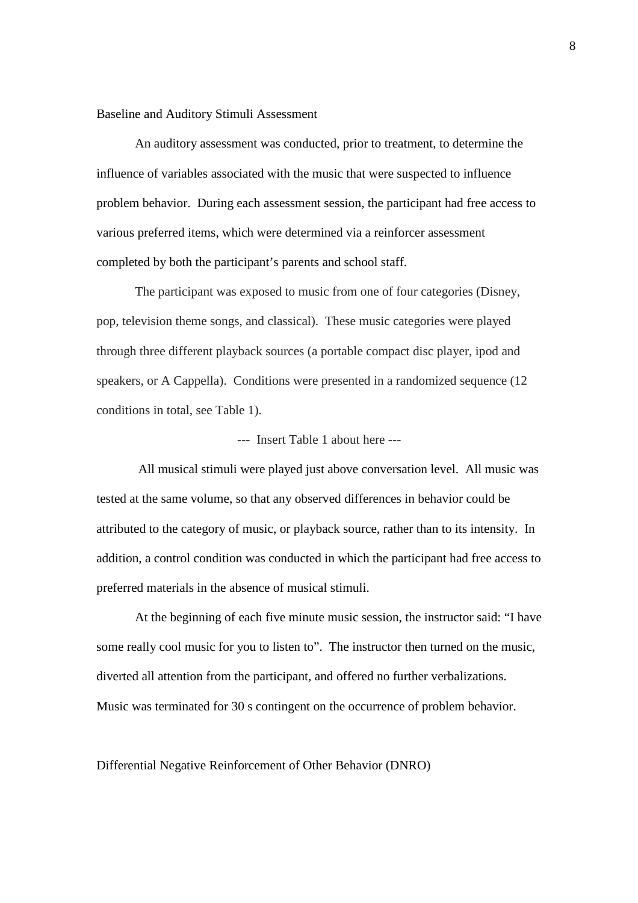Baseline and Auditory Stimuli Assessment

An auditory assessment was conducted, prior to treatment, to determine the influence of variables associated with the music that were suspected to influence problem behavior. During each assessment session, the participant had free access to various preferred items, which were determined via a reinforcer assessment completed by both the participant's parents and school staff.

The participant was exposed to music from one of four categories (Disney, pop, television theme songs, and classical). These music categories were played through three different playback sources (a portable compact disc player, ipod and speakers, or A Cappella). Conditions were presented in a randomized sequence (12 conditions in total, see Table 1).

## --- Insert Table 1 about here ---

All musical stimuli were played just above conversation level. All music was tested at the same volume, so that any observed differences in behavior could be attributed to the category of music, or playback source, rather than to its intensity. In addition, a control condition was conducted in which the participant had free access to preferred materials in the absence of musical stimuli.

At the beginning of each five minute music session, the instructor said: "I have some really cool music for you to listen to". The instructor then turned on the music, diverted all attention from the participant, and offered no further verbalizations. Music was terminated for 30 s contingent on the occurrence of problem behavior.

#### Differential Negative Reinforcement of Other Behavior (DNRO)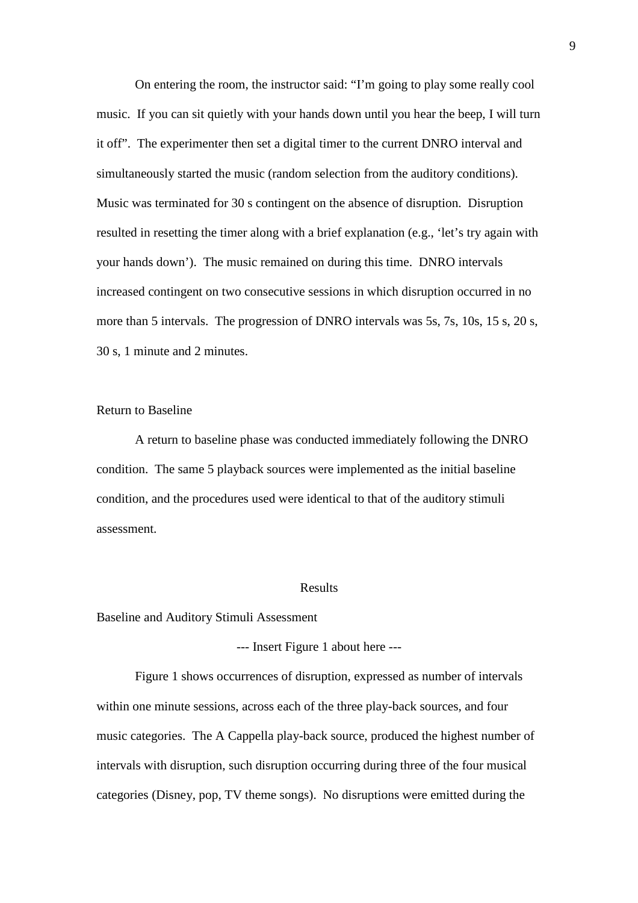On entering the room, the instructor said: "I'm going to play some really cool music. If you can sit quietly with your hands down until you hear the beep, I will turn it off". The experimenter then set a digital timer to the current DNRO interval and simultaneously started the music (random selection from the auditory conditions). Music was terminated for 30 s contingent on the absence of disruption. Disruption resulted in resetting the timer along with a brief explanation (e.g., 'let's try again with your hands down'). The music remained on during this time. DNRO intervals increased contingent on two consecutive sessions in which disruption occurred in no more than 5 intervals. The progression of DNRO intervals was 5s, 7s, 10s, 15 s, 20 s, 30 s, 1 minute and 2 minutes.

#### Return to Baseline

A return to baseline phase was conducted immediately following the DNRO condition. The same 5 playback sources were implemented as the initial baseline condition, and the procedures used were identical to that of the auditory stimuli assessment.

#### Results

Baseline and Auditory Stimuli Assessment

--- Insert Figure 1 about here ---

Figure 1 shows occurrences of disruption, expressed as number of intervals within one minute sessions, across each of the three play-back sources, and four music categories. The A Cappella play-back source, produced the highest number of intervals with disruption, such disruption occurring during three of the four musical categories (Disney, pop, TV theme songs). No disruptions were emitted during the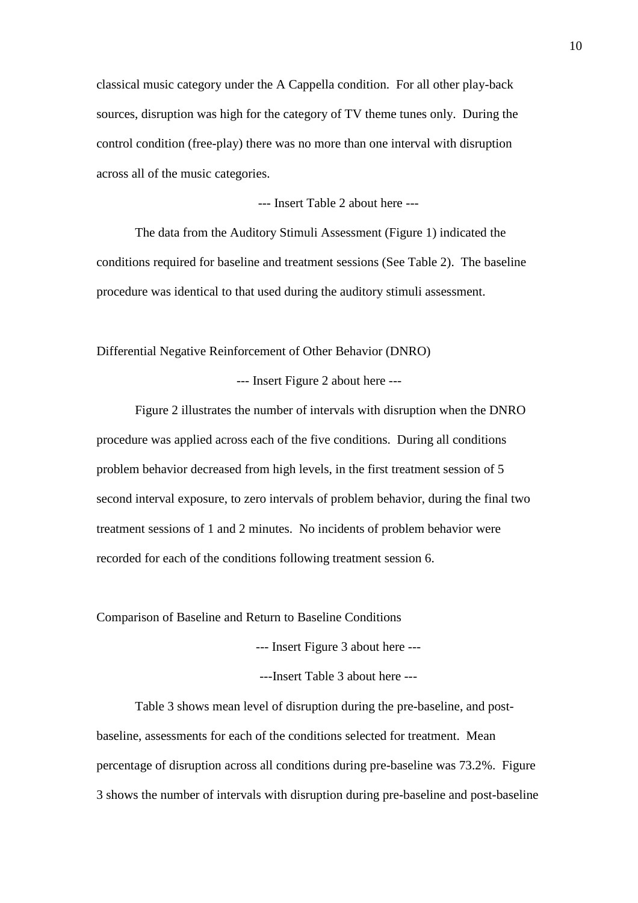classical music category under the A Cappella condition. For all other play-back sources, disruption was high for the category of TV theme tunes only. During the control condition (free-play) there was no more than one interval with disruption across all of the music categories.

--- Insert Table 2 about here ---

The data from the Auditory Stimuli Assessment (Figure 1) indicated the conditions required for baseline and treatment sessions (See Table 2). The baseline procedure was identical to that used during the auditory stimuli assessment.

Differential Negative Reinforcement of Other Behavior (DNRO)

--- Insert Figure 2 about here ---

Figure 2 illustrates the number of intervals with disruption when the DNRO procedure was applied across each of the five conditions. During all conditions problem behavior decreased from high levels, in the first treatment session of 5 second interval exposure, to zero intervals of problem behavior, during the final two treatment sessions of 1 and 2 minutes. No incidents of problem behavior were recorded for each of the conditions following treatment session 6.

Comparison of Baseline and Return to Baseline Conditions

--- Insert Figure 3 about here ---

---Insert Table 3 about here ---

Table 3 shows mean level of disruption during the pre-baseline, and postbaseline, assessments for each of the conditions selected for treatment. Mean percentage of disruption across all conditions during pre-baseline was 73.2%. Figure 3 shows the number of intervals with disruption during pre-baseline and post-baseline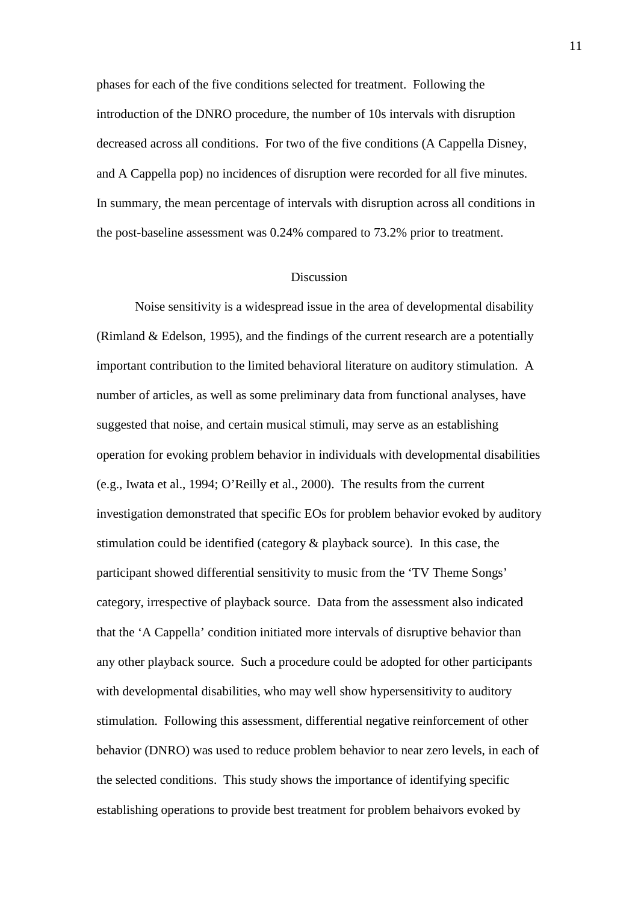phases for each of the five conditions selected for treatment. Following the introduction of the DNRO procedure, the number of 10s intervals with disruption decreased across all conditions. For two of the five conditions (A Cappella Disney, and A Cappella pop) no incidences of disruption were recorded for all five minutes. In summary, the mean percentage of intervals with disruption across all conditions in the post-baseline assessment was 0.24% compared to 73.2% prior to treatment.

### Discussion

Noise sensitivity is a widespread issue in the area of developmental disability (Rimland & Edelson, 1995), and the findings of the current research are a potentially important contribution to the limited behavioral literature on auditory stimulation. A number of articles, as well as some preliminary data from functional analyses, have suggested that noise, and certain musical stimuli, may serve as an establishing operation for evoking problem behavior in individuals with developmental disabilities (e.g., Iwata et al., 1994; O'Reilly et al., 2000). The results from the current investigation demonstrated that specific EOs for problem behavior evoked by auditory stimulation could be identified (category & playback source). In this case, the participant showed differential sensitivity to music from the 'TV Theme Songs' category, irrespective of playback source. Data from the assessment also indicated that the 'A Cappella' condition initiated more intervals of disruptive behavior than any other playback source. Such a procedure could be adopted for other participants with developmental disabilities, who may well show hypersensitivity to auditory stimulation. Following this assessment, differential negative reinforcement of other behavior (DNRO) was used to reduce problem behavior to near zero levels, in each of the selected conditions. This study shows the importance of identifying specific establishing operations to provide best treatment for problem behaivors evoked by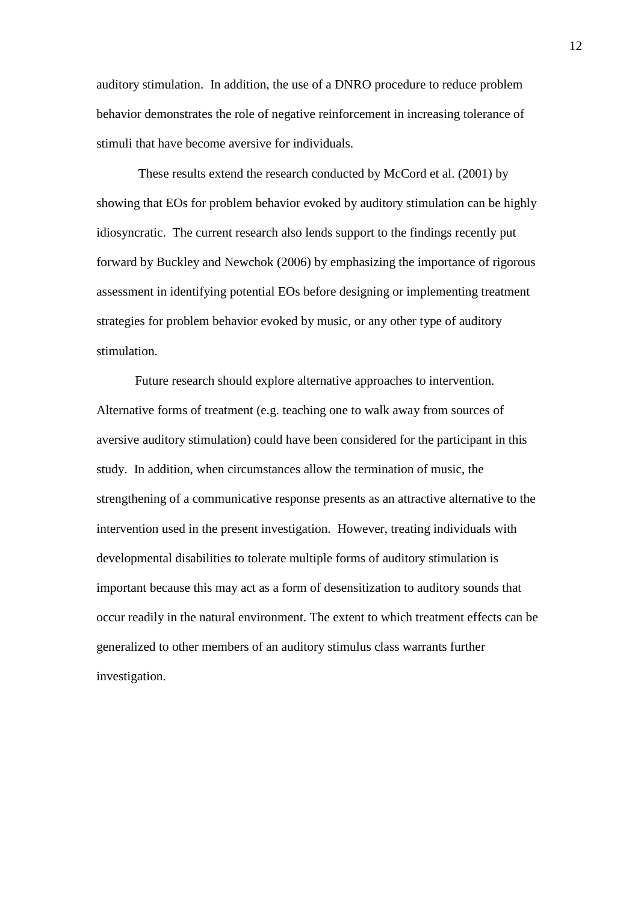auditory stimulation. In addition, the use of a DNRO procedure to reduce problem behavior demonstrates the role of negative reinforcement in increasing tolerance of stimuli that have become aversive for individuals.

These results extend the research conducted by McCord et al. (2001) by showing that EOs for problem behavior evoked by auditory stimulation can be highly idiosyncratic. The current research also lends support to the findings recently put forward by Buckley and Newchok (2006) by emphasizing the importance of rigorous assessment in identifying potential EOs before designing or implementing treatment strategies for problem behavior evoked by music, or any other type of auditory stimulation.

Future research should explore alternative approaches to intervention. Alternative forms of treatment (e.g. teaching one to walk away from sources of aversive auditory stimulation) could have been considered for the participant in this study. In addition, when circumstances allow the termination of music, the strengthening of a communicative response presents as an attractive alternative to the intervention used in the present investigation. However, treating individuals with developmental disabilities to tolerate multiple forms of auditory stimulation is important because this may act as a form of desensitization to auditory sounds that occur readily in the natural environment. The extent to which treatment effects can be generalized to other members of an auditory stimulus class warrants further investigation.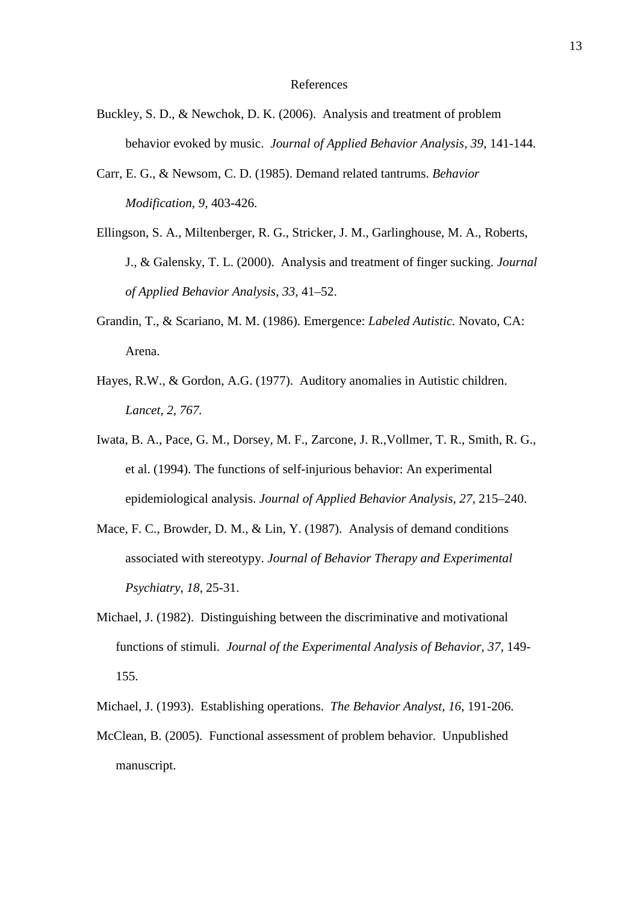#### References

- Buckley, S. D., & Newchok, D. K. (2006). Analysis and treatment of problem behavior evoked by music. *Journal of Applied Behavior Analysis, 39,* 141-144.
- Carr, E. G., & Newsom, C. D. (1985). Demand related tantrums. *Behavior Modification, 9,* 403-426.
- Ellingson, S. A., Miltenberger, R. G., Stricker, J. M., Garlinghouse, M. A., Roberts, J., & Galensky, T. L. (2000). Analysis and treatment of finger sucking. *Journal of Applied Behavior Analysis, 33,* 41–52.
- Grandin, T., & Scariano, M. M. (1986). Emergence: *Labeled Autistic.* Novato, CA: Arena.
- Hayes, R.W., & Gordon, A.G. (1977). Auditory anomalies in Autistic children. *Lancet, 2, 767.*
- Iwata, B. A., Pace, G. M., Dorsey, M. F., Zarcone, J. R.,Vollmer, T. R., Smith, R. G., et al. (1994). The functions of self-injurious behavior: An experimental epidemiological analysis. *Journal of Applied Behavior Analysis, 27,* 215–240.
- Mace, F. C., Browder, D. M., & Lin, Y. (1987). Analysis of demand conditions associated with stereotypy. *Journal of Behavior Therapy and Experimental Psychiatry, 18,* 25-31.
- Michael, J. (1982). Distinguishing between the discriminative and motivational functions of stimuli. *Journal of the Experimental Analysis of Behavior, 37,* 149- 155.
- Michael, J. (1993). Establishing operations. *The Behavior Analyst, 16*, 191-206.
- McClean, B. (2005). Functional assessment of problem behavior. Unpublished manuscript.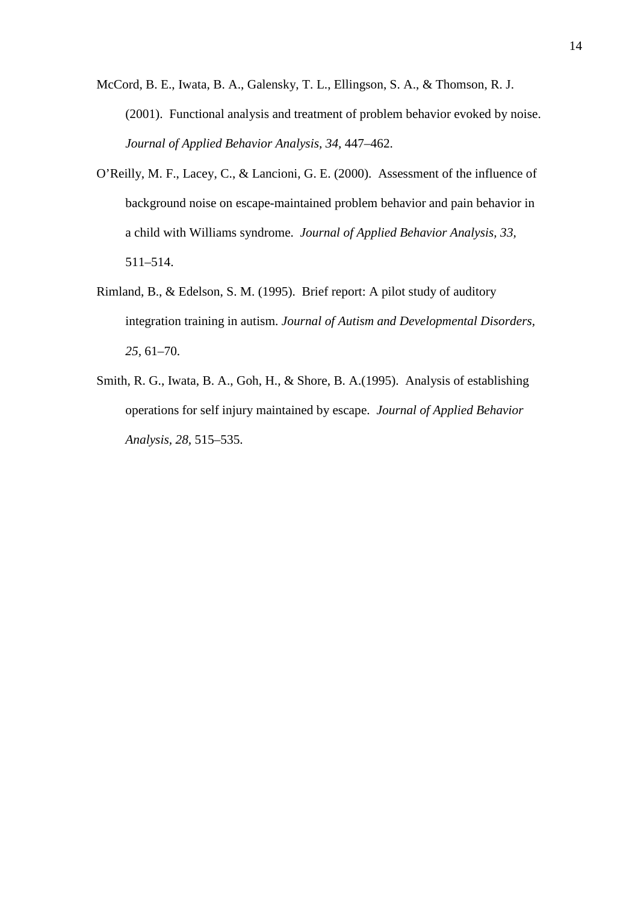McCord, B. E., Iwata, B. A., Galensky, T. L., Ellingson, S. A., & Thomson, R. J. (2001). Functional analysis and treatment of problem behavior evoked by noise. *Journal of Applied Behavior Analysis, 34,* 447–462.

- O'Reilly, M. F., Lacey, C., & Lancioni, G. E. (2000). Assessment of the influence of background noise on escape-maintained problem behavior and pain behavior in a child with Williams syndrome. *Journal of Applied Behavior Analysis, 33,* 511–514.
- Rimland, B., & Edelson, S. M. (1995). Brief report: A pilot study of auditory integration training in autism. *Journal of Autism and Developmental Disorders, 25,* 61–70.
- Smith, R. G., Iwata, B. A., Goh, H., & Shore, B. A.(1995). Analysis of establishing operations for self injury maintained by escape. *Journal of Applied Behavior Analysis, 28,* 515–535.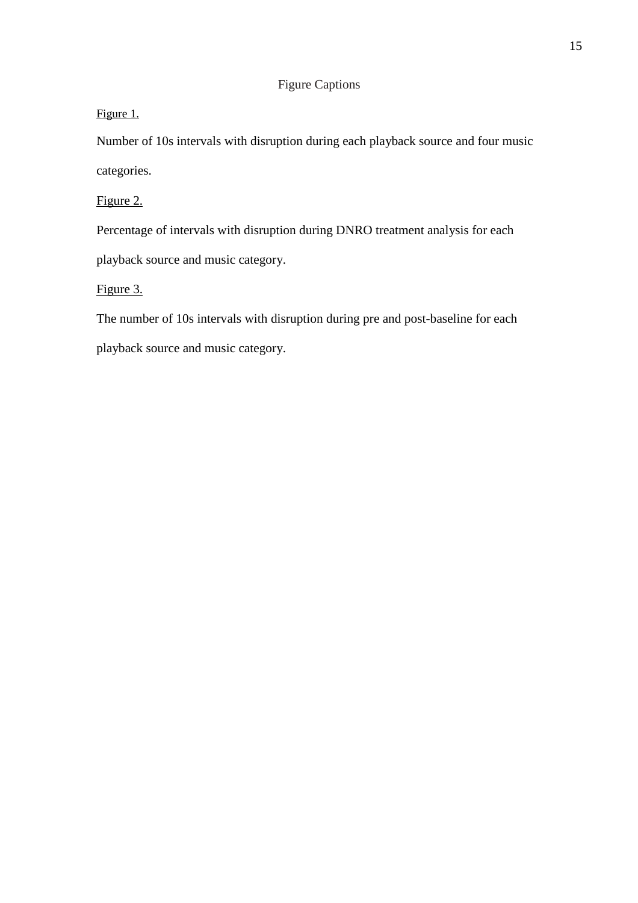## Figure Captions

Figure 1.

Number of 10s intervals with disruption during each playback source and four music categories.

Figure 2.

Percentage of intervals with disruption during DNRO treatment analysis for each playback source and music category.

Figure 3.

The number of 10s intervals with disruption during pre and post-baseline for each playback source and music category.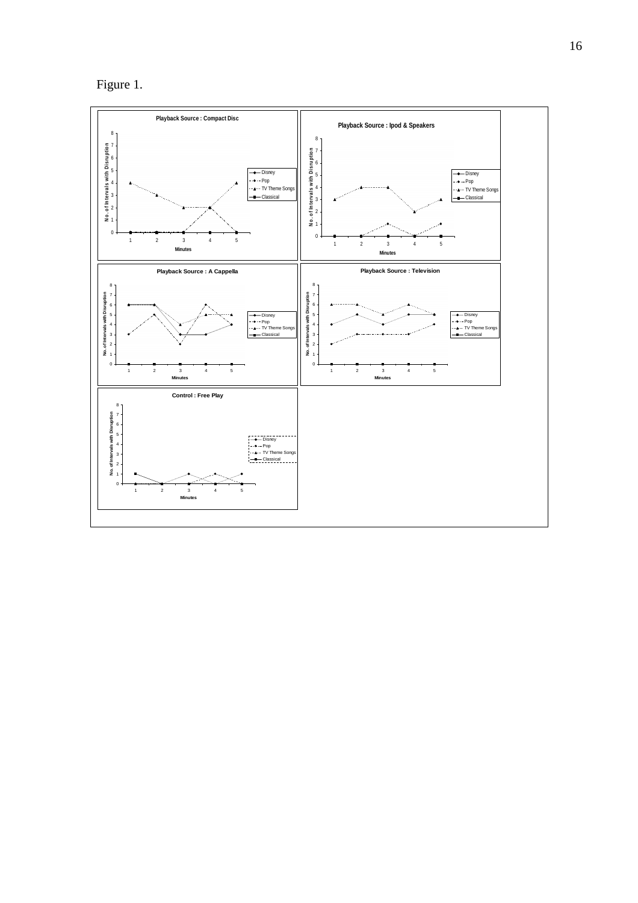Figure 1.

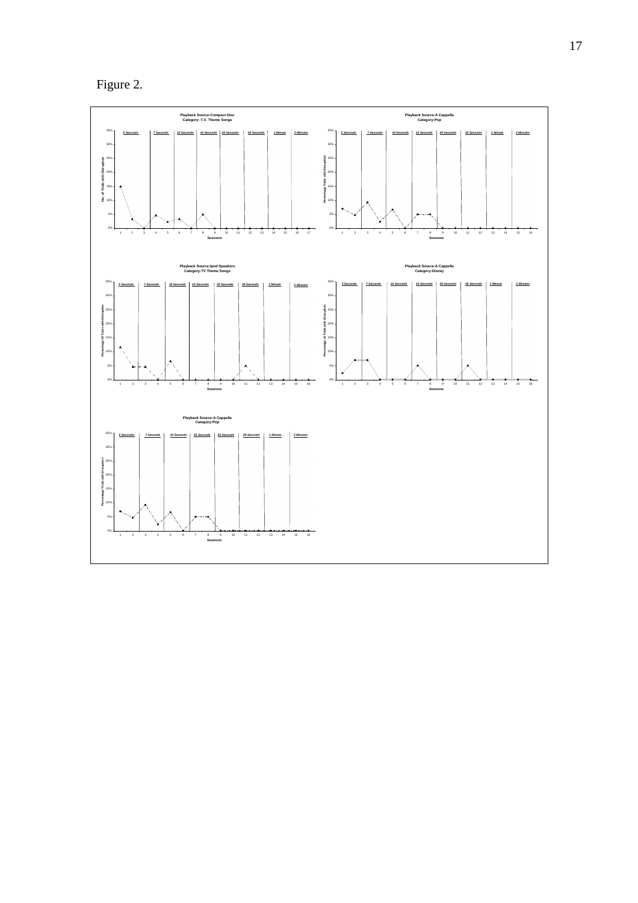Figure 2.

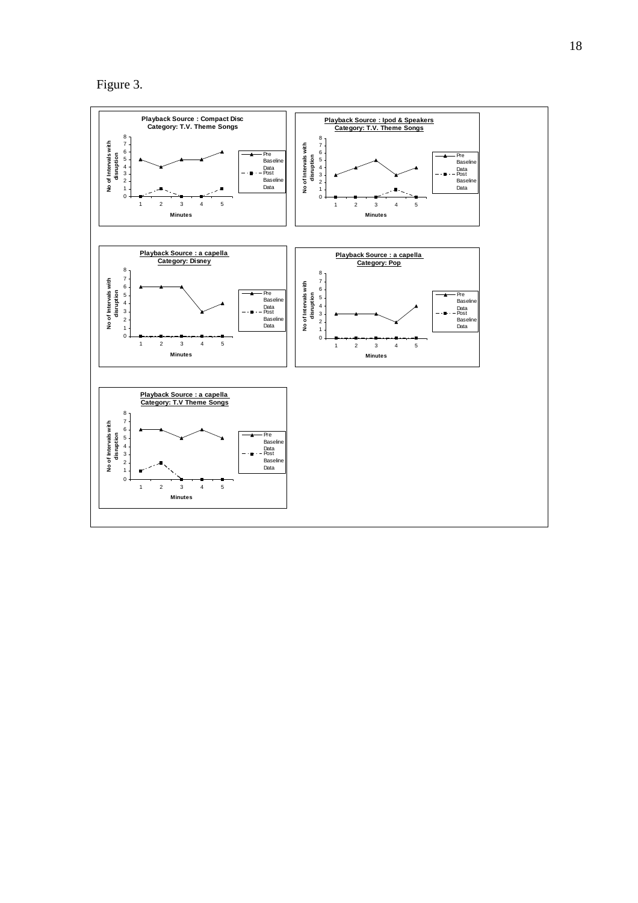Figure 3.

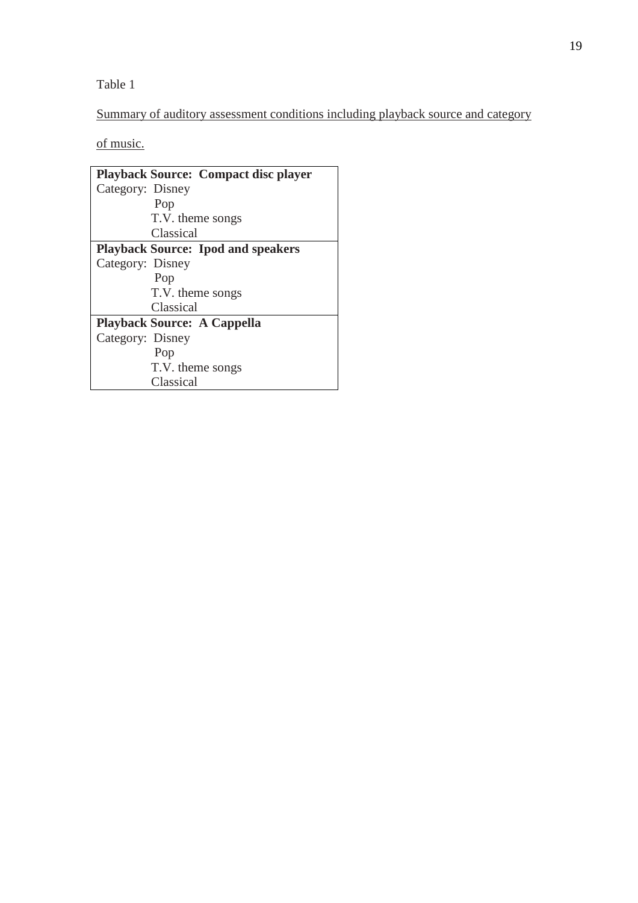Table 1

Summary of auditory assessment conditions including playback source and category

of music.

| <b>Playback Source: Compact disc player</b> |  |  |  |  |
|---------------------------------------------|--|--|--|--|
| Category: Disney                            |  |  |  |  |
| Pop                                         |  |  |  |  |
| T.V. theme songs                            |  |  |  |  |
| Classical                                   |  |  |  |  |
| <b>Playback Source: Ipod and speakers</b>   |  |  |  |  |
| Category: Disney                            |  |  |  |  |
| Pop                                         |  |  |  |  |
| T.V. theme songs                            |  |  |  |  |
| Classical                                   |  |  |  |  |
| <b>Playback Source: A Cappella</b>          |  |  |  |  |
| Category: Disney                            |  |  |  |  |
| Pop                                         |  |  |  |  |
| T.V. theme songs                            |  |  |  |  |
| Classical                                   |  |  |  |  |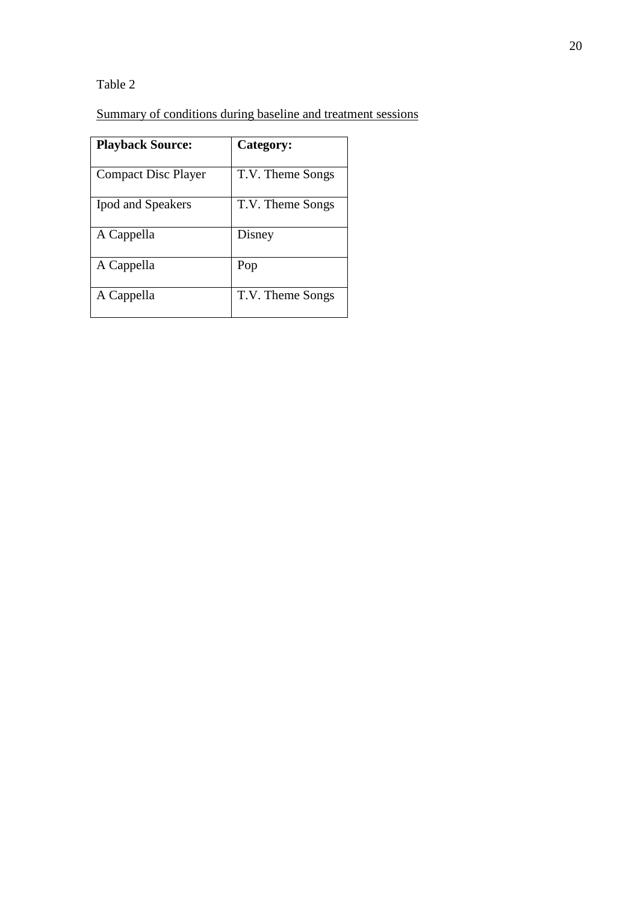## Table 2

# Summary of conditions during baseline and treatment sessions

| <b>Playback Source:</b>    | Category:        |  |
|----------------------------|------------------|--|
| <b>Compact Disc Player</b> | T.V. Theme Songs |  |
| <b>Ipod and Speakers</b>   | T.V. Theme Songs |  |
| A Cappella                 | Disney           |  |
| A Cappella                 | Pop              |  |
| A Cappella                 | T.V. Theme Songs |  |